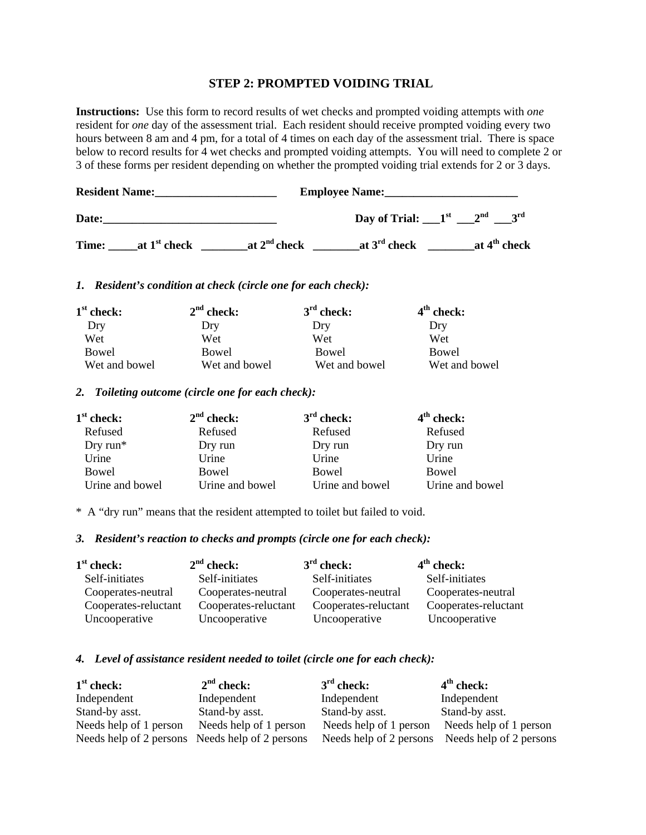## **STEP 2: PROMPTED VOIDING TRIAL**

**Instructions:** Use this form to record results of wet checks and prompted voiding attempts with *one* resident for *one* day of the assessment trial. Each resident should receive prompted voiding every two hours between 8 am and 4 pm, for a total of 4 times on each day of the assessment trial. There is space below to record results for 4 wet checks and prompted voiding attempts. You will need to complete 2 or 3 of these forms per resident depending on whether the prompted voiding trial extends for 2 or 3 days.

| <b>Resident Name:</b> |                |                | <b>Employee Name:</b>               |  |  |                |
|-----------------------|----------------|----------------|-------------------------------------|--|--|----------------|
| Date:                 |                |                | Day of Trial: $1st$ 2 <sup>nd</sup> |  |  |                |
| Time:                 | at $1st$ check | at $2nd$ check | at $3^{rd}$ check                   |  |  | at $4th$ check |

### *1. Resident's condition at check (circle one for each check):*

| $1st$ check:  | $2nd$ check:  | $3rd$ check:  | $4th$ check:  |
|---------------|---------------|---------------|---------------|
| Dry           | Dry           | Dry           | Drv           |
| Wet           | Wet           | Wet           | Wet           |
| Bowel         | Bowel         | Bowel         | Bowel         |
| Wet and bowel | Wet and bowel | Wet and bowel | Wet and bowel |

#### *2. Toileting outcome (circle one for each check):*

| $1st$ check:    | $2nd$ check:    | $3rd$ check:    | $4th$ check:    |
|-----------------|-----------------|-----------------|-----------------|
| Refused         | Refused         | Refused         | Refused         |
| Dry run $*$     | Dry run         | Dry run         | Dry run         |
| Urine           | Urine           | Urine           | Urine           |
| Bowel           | Bowel           | Bowel           | Bowel           |
| Urine and bowel | Urine and bowel | Urine and bowel | Urine and bowel |

\* A "dry run" means that the resident attempted to toilet but failed to void.

### *3. Resident's reaction to checks and prompts (circle one for each check):*

| $1st$ check:         | $2nd$ check:         | $3rd$ check:         | $4th$ check:         |
|----------------------|----------------------|----------------------|----------------------|
| Self-initiates       | Self-initiates       | Self-initiates       | Self-initiates       |
| Cooperates-neutral   | Cooperates-neutral   | Cooperates-neutral   | Cooperates-neutral   |
| Cooperates-reluctant | Cooperates-reluctant | Cooperates-reluctant | Cooperates-reluctant |
| Uncooperative        | Uncooperative        | Uncooperative        | Uncooperative        |

### *4. Level of assistance resident needed to toilet (circle one for each check):*

| $1st$ check:                                    | $2nd$ check:           | $3rd$ check:           | $4th$ check:                                    |
|-------------------------------------------------|------------------------|------------------------|-------------------------------------------------|
| Independent                                     | Independent            | Independent            | Independent                                     |
| Stand-by asst.                                  | Stand-by asst.         | Stand-by asst.         | Stand-by asst.                                  |
| Needs help of 1 person                          | Needs help of 1 person | Needs help of 1 person | Needs help of 1 person                          |
| Needs help of 2 persons Needs help of 2 persons |                        |                        | Needs help of 2 persons Needs help of 2 persons |